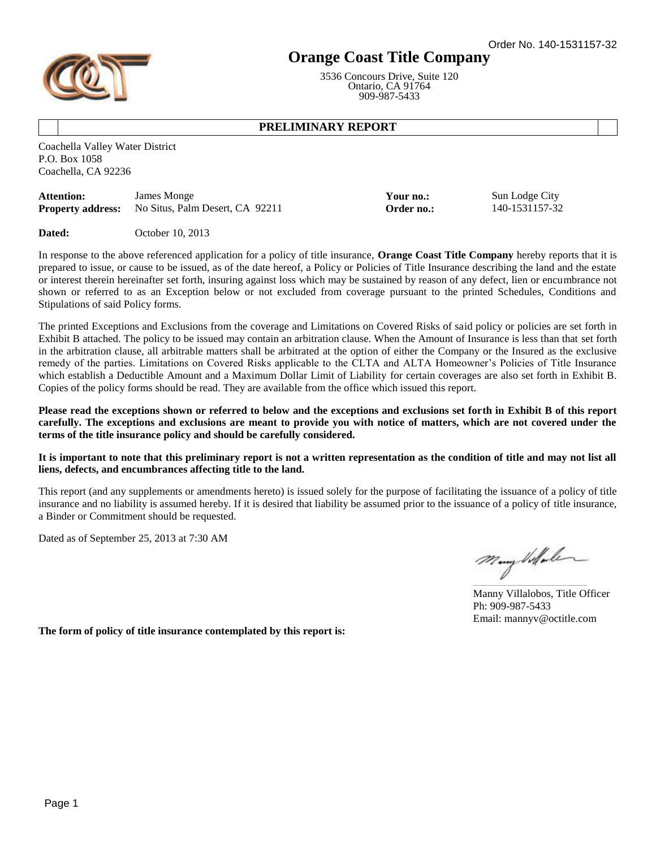# **Orange Coast Title Company**

3536 Concours Drive, Suite 120 Ontario, CA 91764 909-987-5433

> **Your no.:** Sun Lodge City **Proper no.:** 140-1531157-32

# **PRELIMINARY REPORT**

Coachella Valley Water District P.O. Box 1058 Coachella, CA 92236

| Attention:               | James Monge                     |
|--------------------------|---------------------------------|
| <b>Property address:</b> | No Situs, Palm Desert, CA 92211 |

**Dated:** October 10, 2013

In response to the above referenced application for a policy of title insurance, **Orange Coast Title Company** hereby reports that it is prepared to issue, or cause to be issued, as of the date hereof, a Policy or Policies of Title Insurance describing the land and the estate or interest therein hereinafter set forth, insuring against loss which may be sustained by reason of any defect, lien or encumbrance not shown or referred to as an Exception below or not excluded from coverage pursuant to the printed Schedules, Conditions and Stipulations of said Policy forms.

The printed Exceptions and Exclusions from the coverage and Limitations on Covered Risks of said policy or policies are set forth in Exhibit B attached. The policy to be issued may contain an arbitration clause. When the Amount of Insurance is less than that set forth in the arbitration clause, all arbitrable matters shall be arbitrated at the option of either the Company or the Insured as the exclusive remedy of the parties. Limitations on Covered Risks applicable to the CLTA and ALTA Homeowner's Policies of Title Insurance which establish a Deductible Amount and a Maximum Dollar Limit of Liability for certain coverages are also set forth in Exhibit B. Copies of the policy forms should be read. They are available from the office which issued this report.

**Please read the exceptions shown or referred to below and the exceptions and exclusions set forth in Exhibit B of this report carefully. The exceptions and exclusions are meant to provide you with notice of matters, which are not covered under the terms of the title insurance policy and should be carefully considered.** 

### **It is important to note that this preliminary report is not a written representation as the condition of title and may not list all liens, defects, and encumbrances affecting title to the land.**

This report (and any supplements or amendments hereto) is issued solely for the purpose of facilitating the issuance of a policy of title insurance and no liability is assumed hereby. If it is desired that liability be assumed prior to the issuance of a policy of title insurance, a Binder or Commitment should be requested.

Dated as of September 25, 2013 at 7:30 AM

\_\_\_\_\_\_\_\_\_\_\_\_\_\_\_\_\_\_\_\_\_\_\_\_\_\_\_\_\_\_\_\_\_\_\_\_\_\_\_\_\_\_\_\_\_\_\_\_\_\_\_\_\_

Manny Villalobos, Title Officer Ph: 909-987-5433 Email: mannyv@octitle.com

**The form of policy of title insurance contemplated by this report is:**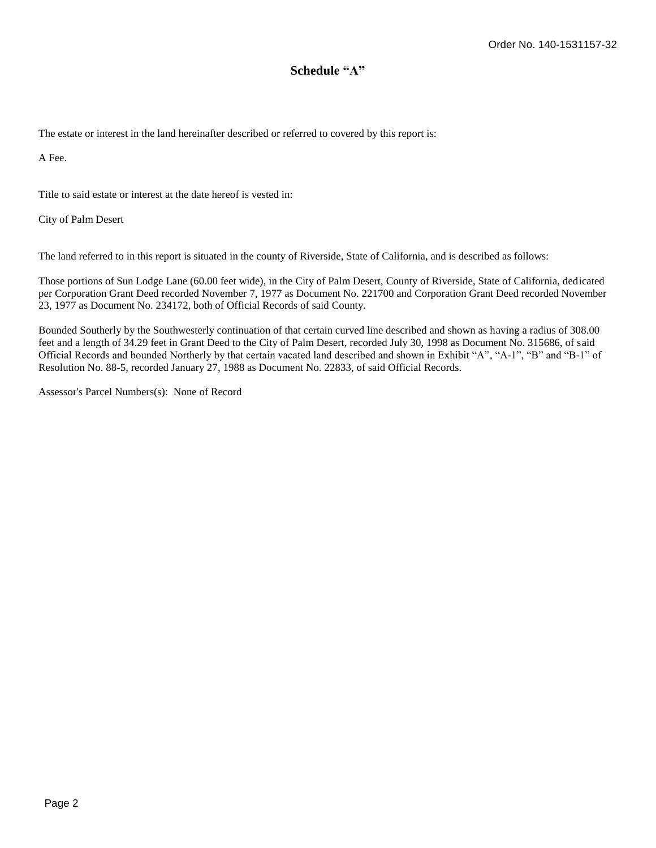# **Schedule "A"**

The estate or interest in the land hereinafter described or referred to covered by this report is:

A Fee.

Title to said estate or interest at the date hereof is vested in:

City of Palm Desert

The land referred to in this report is situated in the county of Riverside, State of California, and is described as follows:

Those portions of Sun Lodge Lane (60.00 feet wide), in the City of Palm Desert, County of Riverside, State of California, dedicated per Corporation Grant Deed recorded November 7, 1977 as Document No. 221700 and Corporation Grant Deed recorded November 23, 1977 as Document No. 234172, both of Official Records of said County.

Bounded Southerly by the Southwesterly continuation of that certain curved line described and shown as having a radius of 308.00 feet and a length of 34.29 feet in Grant Deed to the City of Palm Desert, recorded July 30, 1998 as Document No. 315686, of said Official Records and bounded Northerly by that certain vacated land described and shown in Exhibit "A", "A-1", "B" and "B-1" of Resolution No. 88-5, recorded January 27, 1988 as Document No. 22833, of said Official Records.

Assessor's Parcel Numbers(s): None of Record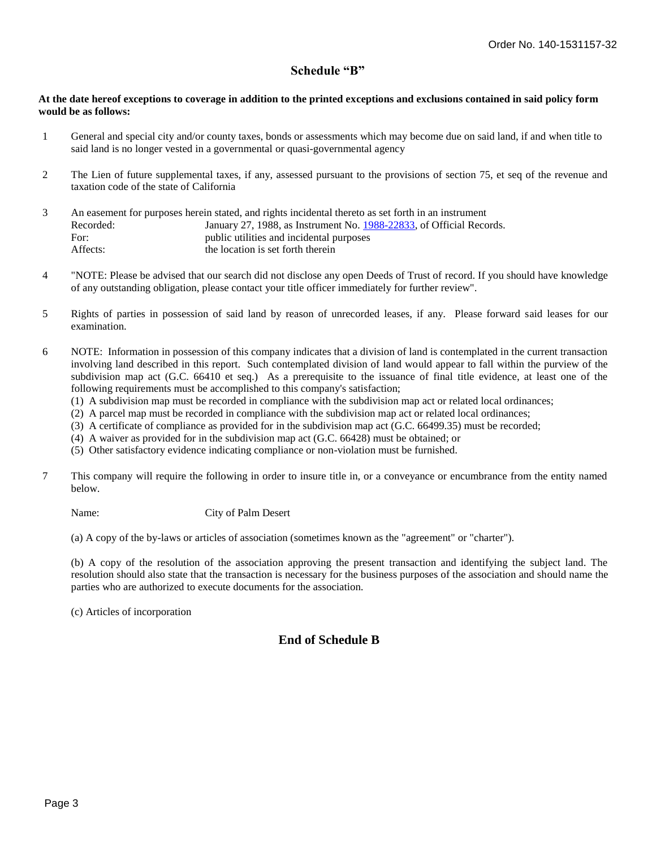# **Schedule "B"**

### **At the date hereof exceptions to coverage in addition to the printed exceptions and exclusions contained in said policy form would be as follows:**

- $\mathbf{1}$ General and special city and/or county taxes, bonds or assessments which may become due on said land, if and when title to said land is no longer vested in a governmental or quasi-governmental agency
- 2 The Lien of future supplemental taxes, if any, assessed pursuant to the provisions of section 75, et seq of the revenue and taxation code of the state of California
- 3 An easement for purposes herein stated, and rights incidental thereto as set forth in an instrument Recorded: January 27, 1988, as Instrument No. [1988-22833,](http://ta2.titleadvantage.com/TA/orders/managing/documentviewer.aspx?DocumentKey=c6029099-c7f8-45d7-b84c-91e8fe872e2d) of Official Records. For: public utilities and incidental purposes Affects: the location is set forth therein
- 4 "NOTE: Please be advised that our search did not disclose any open Deeds of Trust of record. If you should have knowledge of any outstanding obligation, please contact your title officer immediately for further review".
- 5 Rights of parties in possession of said land by reason of unrecorded leases, if any. Please forward said leases for our examination.
- 6 NOTE: Information in possession of this company indicates that a division of land is contemplated in the current transaction involving land described in this report. Such contemplated division of land would appear to fall within the purview of the subdivision map act (G.C. 66410 et seq.) As a prerequisite to the issuance of final title evidence, at least one of the following requirements must be accomplished to this company's satisfaction;
	- (1) A subdivision map must be recorded in compliance with the subdivision map act or related local ordinances;
	- (2) A parcel map must be recorded in compliance with the subdivision map act or related local ordinances;
	- (3) A certificate of compliance as provided for in the subdivision map act (G.C. 66499.35) must be recorded;
	- (4) A waiver as provided for in the subdivision map act (G.C. 66428) must be obtained; or
	- (5) Other satisfactory evidence indicating compliance or non-violation must be furnished.
- 7 This company will require the following in order to insure title in, or a conveyance or encumbrance from the entity named below.

Name: City of Palm Desert

(a) A copy of the by-laws or articles of association (sometimes known as the "agreement" or "charter").

(b) A copy of the resolution of the association approving the present transaction and identifying the subject land. The resolution should also state that the transaction is necessary for the business purposes of the association and should name the parties who are authorized to execute documents for the association.

(c) Articles of incorporation

# **End of Schedule B**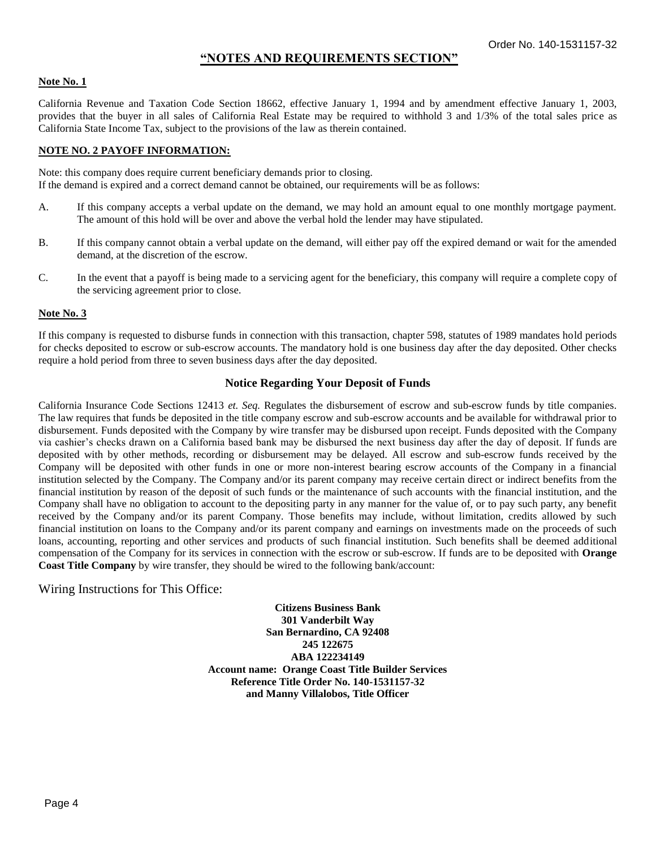# **"NOTES AND REQUIREMENTS SECTION"**

### **Note No. 1**

California Revenue and Taxation Code Section 18662, effective January 1, 1994 and by amendment effective January 1, 2003, provides that the buyer in all sales of California Real Estate may be required to withhold 3 and 1/3% of the total sales price as California State Income Tax, subject to the provisions of the law as therein contained.

### **NOTE NO. 2 PAYOFF INFORMATION:**

Note: this company does require current beneficiary demands prior to closing. If the demand is expired and a correct demand cannot be obtained, our requirements will be as follows:

- A. If this company accepts a verbal update on the demand, we may hold an amount equal to one monthly mortgage payment. The amount of this hold will be over and above the verbal hold the lender may have stipulated.
- B. If this company cannot obtain a verbal update on the demand, will either pay off the expired demand or wait for the amended demand, at the discretion of the escrow.
- C. In the event that a payoff is being made to a servicing agent for the beneficiary, this company will require a complete copy of the servicing agreement prior to close.

#### **Note No. 3**

If this company is requested to disburse funds in connection with this transaction, chapter 598, statutes of 1989 mandates hold periods for checks deposited to escrow or sub-escrow accounts. The mandatory hold is one business day after the day deposited. Other checks require a hold period from three to seven business days after the day deposited.

### **Notice Regarding Your Deposit of Funds**

California Insurance Code Sections 12413 *et. Seq.* Regulates the disbursement of escrow and sub-escrow funds by title companies. The law requires that funds be deposited in the title company escrow and sub-escrow accounts and be available for withdrawal prior to disbursement. Funds deposited with the Company by wire transfer may be disbursed upon receipt. Funds deposited with the Company via cashier's checks drawn on a California based bank may be disbursed the next business day after the day of deposit. If funds are deposited with by other methods, recording or disbursement may be delayed. All escrow and sub-escrow funds received by the Company will be deposited with other funds in one or more non-interest bearing escrow accounts of the Company in a financial institution selected by the Company. The Company and/or its parent company may receive certain direct or indirect benefits from the financial institution by reason of the deposit of such funds or the maintenance of such accounts with the financial institution, and the Company shall have no obligation to account to the depositing party in any manner for the value of, or to pay such party, any benefit received by the Company and/or its parent Company. Those benefits may include, without limitation, credits allowed by such financial institution on loans to the Company and/or its parent company and earnings on investments made on the proceeds of such loans, accounting, reporting and other services and products of such financial institution. Such benefits shall be deemed additional compensation of the Company for its services in connection with the escrow or sub-escrow. If funds are to be deposited with **Orange Coast Title Company** by wire transfer, they should be wired to the following bank/account:

### Wiring Instructions for This Office:

**Citizens Business Bank 301 Vanderbilt Way San Bernardino, CA 92408 245 122675 ABA 122234149 Account name: Orange Coast Title Builder Services Reference Title Order No. 140-1531157-32 and Manny Villalobos, Title Officer**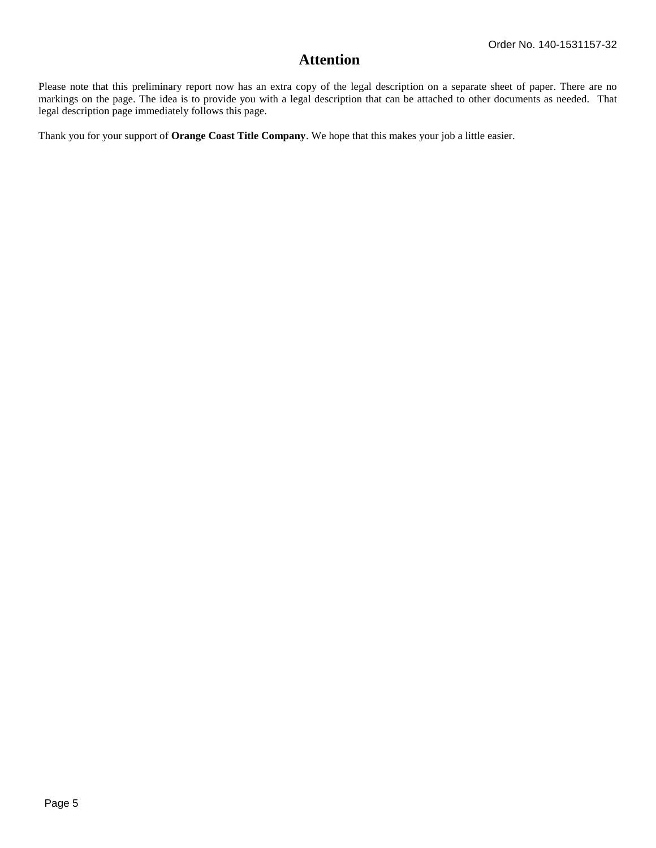# **Attention**

Please note that this preliminary report now has an extra copy of the legal description on a separate sheet of paper. There are no markings on the page. The idea is to provide you with a legal description that can be attached to other documents as needed. That legal description page immediately follows this page.

Thank you for your support of **Orange Coast Title Company**. We hope that this makes your job a little easier.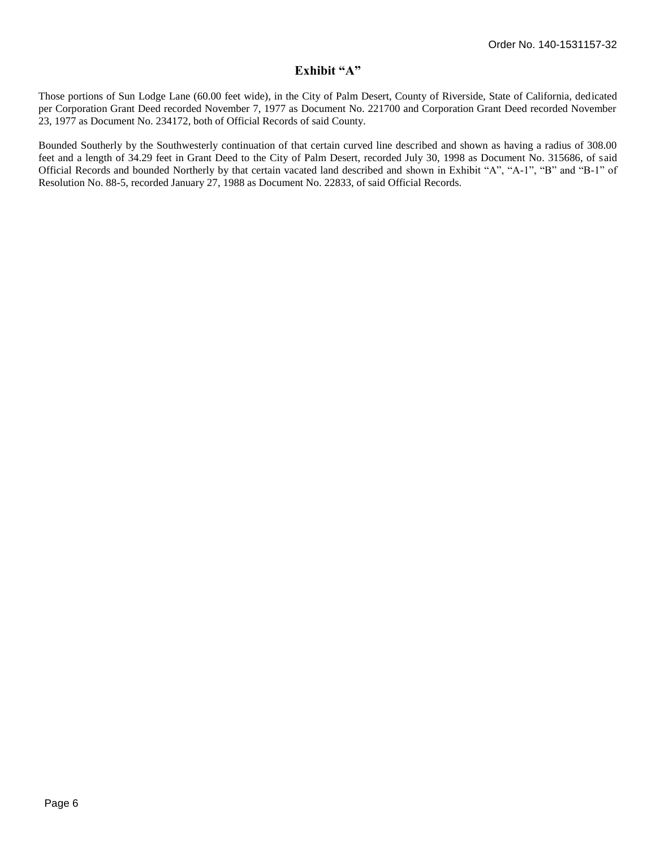# **Exhibit "A"**

Those portions of Sun Lodge Lane (60.00 feet wide), in the City of Palm Desert, County of Riverside, State of California, dedicated per Corporation Grant Deed recorded November 7, 1977 as Document No. 221700 and Corporation Grant Deed recorded November 23, 1977 as Document No. 234172, both of Official Records of said County.

Bounded Southerly by the Southwesterly continuation of that certain curved line described and shown as having a radius of 308.00 feet and a length of 34.29 feet in Grant Deed to the City of Palm Desert, recorded July 30, 1998 as Document No. 315686, of said Official Records and bounded Northerly by that certain vacated land described and shown in Exhibit "A", "A-1", "B" and "B-1" of Resolution No. 88-5, recorded January 27, 1988 as Document No. 22833, of said Official Records.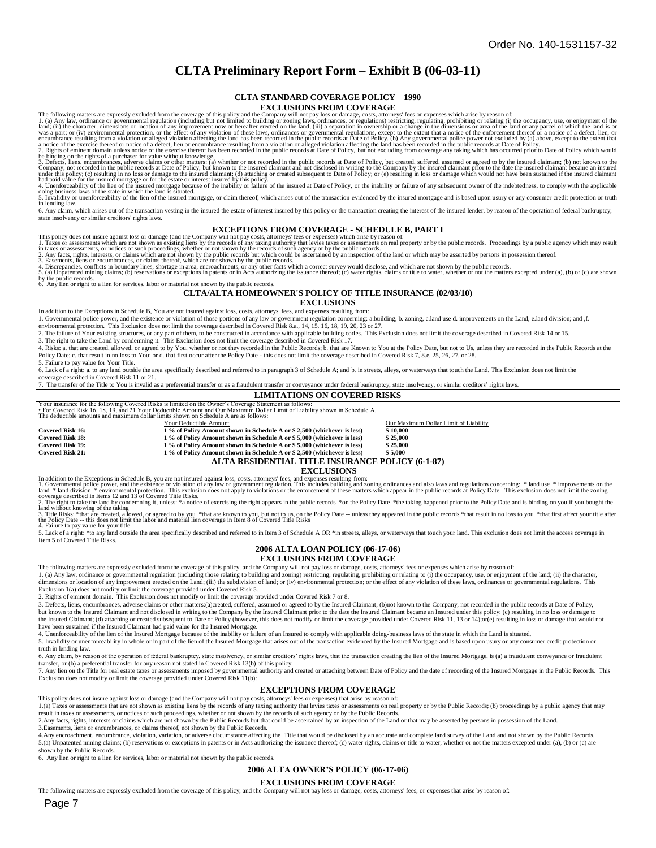# **CLTA Preliminary Report Form – Exhibit B (06-03-11)**

#### **CLTA STANDARD COVERAGE POLICY – 1990 EXCLUSIONS FROM COVERAGE**

The following matters are expressly excluded from the coverage of this policy and the Company will not pay loss or damage, costs, attorneys' fees or expenses which arise by reason of:<br>1. (a) Any law, ordinance or governmen

3. Defects, liens, encumbrances, adverse claims or other matters. (a) whether or not recorded in the public records at Date of Policy, but created, suffered, assumed or agreed to by the insured claimant; (b) not known to t

5. Invalidity or unenforceability of the lien of the insured mortgage, or claim thereof, which arises out of the transaction evidenced by the insured mortgage and is based upon usury or any consumer credit protection or tr 6. Any claim, which arises out of the transaction vesting in the insured the estate of interest insured by this policy or the transaction creating the interest of the insured lender, by reason of the operation of federal b

state insolvency or similar creditors' rights laws.

#### **EXCEPTIONS FROM COVERAGE - SCHEDULE B, PART I**

This policy does not insure against loss or damage (and the Company will not pay costs, attorneys' fees or expenses) which arise by reason of:<br>1. Taxes or assessments which are not shown as existing liens by the records of

#### 6. Any lien or right to a lien for services, labor or material not shown by the public records.

#### **CLTA/ALTA HOMEOWNER'S POLICY OF TITLE INSURANCE (02/03/10)**

#### **EXCLUSIONS**

In addition to the Exceptions in Schedule B, You are not insured against loss, costs, attorneys' fees, and expenses resulting from: 1. Governmental police power, and the existence or violation of those portions of any law or government regulation concerning: a.building, b. zoning, c.land use d. improvements on the Land, e.land division; and ,f.

environmental protection. This Exclusion does not limit the coverage described in Covered Risk 8.a., 14, 15, 16, 18, 19, 20, 23 or 27.

2. The failure of Your existing structures, or any part of them, to be constructed in accordance with applicable building codes. This Exclusion does not limit the coverage described in Covered Risk 14 or 15.

3. The right to take the Land by condemning it. This Exclusion does not limit the coverage described in Covered Risk 17.<br>4. Risks: a. that are created, allowed, or agreed to by You, whether or not they recorded in the Publ Policy Date; c. that result in no loss to You; or d. that first occur after the Policy Date - this does not limit the coverage described in Covered Risk 7, 8.e, 25, 26, 27, or 28. 5. Failure to pay value for Your Title.

6. Lack of a right: a. to any land outside the area specifically described and referred to in paragraph 3 of Schedule A; and b. in streets, alleys, or waterways that touch the Land. This Exclusion does not limit the

coverage described in Covered Risk 11 or 21. The transfer of the Title to You is invalid as a preferential transfer or as a fraudulent transfer or conveyance under federal bankruptcy, state insolvency, or similar creditors' rights laws.

### **LIMITATIONS ON COVERED RISKS**

Your insurance for the following Covered Risks is limited on the Owner's Coverage Statement as follows:<br>• For Covered Risk 16, 18, 19, and 21 Your Deductible Amount and Our Maximum Dollar Limit of Liability shown in Schedu

The deductible amounts and maximum dollar limits shown on Schedule A are as follows:

|                         | Your Deductible Amount                                                   | Our Maximum Dollar Limit of Liability |
|-------------------------|--------------------------------------------------------------------------|---------------------------------------|
| Covered Risk 16:        | 1 % of Policy Amount shown in Schedule A or \$2,500 (whichever is less)  | \$10,000                              |
| <b>Covered Risk 18:</b> | 1 % of Policy Amount shown in Schedule A or \$5,000 (whichever is less)  | \$25.000                              |
| Covered Risk 19:        | 1 % of Policy Amount shown in Schedule A or \$5,000 (whichever is less)  | \$25,000                              |
| <b>Covered Risk 21:</b> | 1 % of Policy Amount shown in Schedule A or \$ 2.500 (whichever is less) | \$5,000                               |
|                         | ALTA RESIDENTIAL TITLE INSURANCE POLICY (6-1-87)                         |                                       |

#### **EXCLUSIONS**

In addition to the Exceptions in Schedule B, you are not insured against loss, costs, attorneys' fees, and expenses resulting from:<br>1. Governmental police power, and the existence or violation of any law or government regu

4. Failure to pay value for your title.<br>5. Lack of a right: \*to any land outside the area specifically described and referred to in Item 3 of Schedule A OR \*in streets, alleys, or waterways that touch your land. This exclu Item 5 of Covered Title Risks.

#### **2006 ALTA LOAN POLICY (06-17-06) EXCLUSIONS FROM COVERAGE**

The following matters are expressly excluded from the coverage of this policy, and the Company will not pay loss or damage, costs, attorneys' fees or expenses which arise by reason of:

1. (a) Any law, ordinance or governmental regulation (including those relating to building and zoning) restricting, regulating, prohibiting or relating to (i) the occupancy, use, or enjoyment of the land; (ii) the characte

Exclusion 1(a) does not modify or limit the coverage provided under Covered Risk 5. 2. Rights of eminent domain. This Exclusion does not modify or limit the coverage provided under Covered Risk 7 or 8.

3. Defects, liens, encumbrances, adverse claims or other matters:(a)created, suffered, assumed or agreed to by the Insured Claimant; (b)not known to the Company, not recorded in the public records at Date of Policy, but known to the Insured Claimant and not disclosed in writing to the Company by the Insured Claimant prior to the date the Insured Claimant became an Insured under this policy; (c) resulting in no loss or damage to<br>the In have been sustained if the Insured Claimant had paid value for the Insured Mortgage.<br>4. Unenforceability of the lien of the Insured Mortgage because of the inability or failure of an Insured to comply with applicable doing

5. Invalidity or unenforceability in whole or in part of the lien of the Insured Mortgage that arises out of the transaction evidenced by the Insured Mortgage and is based upon usury or any consumer credit protection or truth in lending law.

6. Any claim, by reason of the operation of federal bankruptcy, state insolvency, or similar creditors' rights laws, that the transaction creating the lien of the Insured Mortgage, is (a) a fraudulent conveyance or fraudul

transfer, or (b) a preferential transfer for any reason not stated in Covered Risk 13(b) of this policy.<br>7. Any lien on the Title for real estate taxes or assessments imposed by governmental authority and created or attach Exclusion does not modify or limit the coverage provided under Covered Risk 11(b):

#### **EXCEPTIONS FROM COVERAGE**

This policy does not insure against loss or damage (and the Company will not pay costs, attorneys' fees or expenses) that arise by reason of: 1.(a) Taxes or assessments that are not shown as existing liens by the records of any taxing authority that levies taxes or assessments on real property or by the Public Records; (b) proceedings by a public agency that may

result in taxes or assessments, or notices of such proceedings, whether or not shown by the records of such agency or by the Public Records.<br>2.Any facts, rights, interests or claims which are not shown by the Public Record 3.Easements, liens or encumbrances, or claims thereof, not shown by the Public Records.

4.Any encroachment, encumbrance, violation, variation, or adverse circumstance affecting the Title that would be disclosed by an accurate and complete land survey of the Land and not shown by the Public Records. 5.(a) Unpatented mining claims; (b) reservations or exceptions in patents or in Acts authorizing the issuance thereof; (c) water rights, claims or title to water, whether or not the matters excepted under (a), (b) or (c) are

shown by the Public Records. 6. Any lien or right to a lien for services, labor or material not shown by the public records.

#### **2006 ALTA OWNER'S POLICY (06-17-06)**

#### **EXCLUSIONS FROM COVERAGE**

The following matters are expressly excluded from the coverage of this policy, and the Company will not pay loss or damage, costs, attorneys' fees, or expenses that arise by reason of: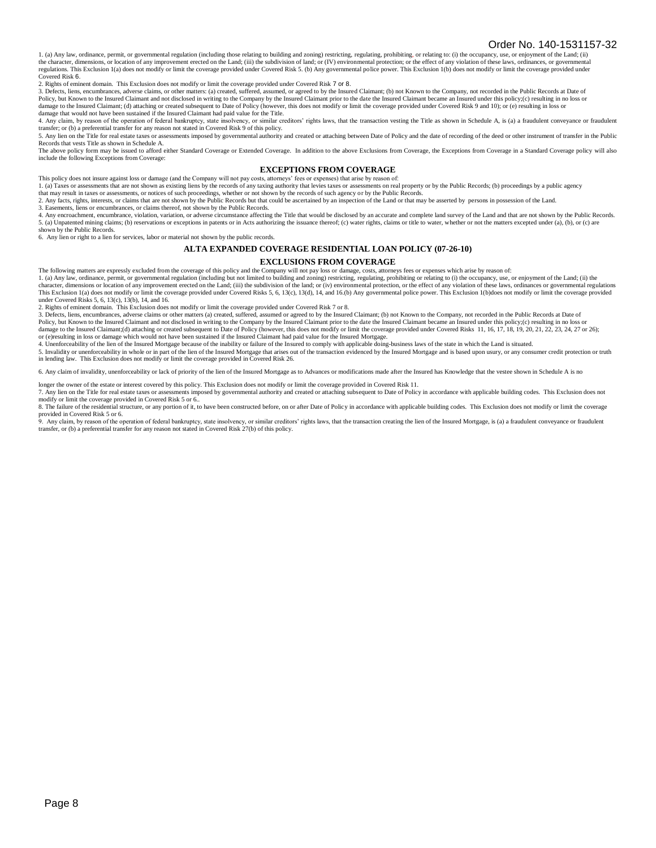1. (a) Any law, ordinance, permit, or governmental regulation (including those relating to building and zoning) restricting, regulating, prohibiting, or relating to: (i) the occupancy, use, or enjoyment of the Land; (ii) the character, dimensions, or location of any improvement erected on the Land; (iii) the subdivision of land; or (IV) environmental protection; or the effect of any violation of these laws, ordinances, or governmental regulations. This Exclusion 1(a) does not modify or limit the coverage provided under Covered Risk 5. (b) Any governmental police power. This Exclusion 1(b) does not modify or limit the coverage provided under Covered Risk 6.

2. Rights of eminent domain. This Exclusion does not modify or limit the coverage provided under Covered Risk 7 or 8.

3. Defects, liens, encumbrances, adverse claims, or other matters: (a) created, suffered, assumed, or agreed to by the Insured Claimant; (b) not Known to the Company, not recorded in the Public Records at Date of Policy, but Known to the Insured Claimant and not disclosed in writing to the Company by the Insured Claimant prior to the date the Insured Claimant became an Insured under this policy;(c) resulting in no loss or damage to the Insured Claimant; (d) attaching or created subsequent to Date of Policy (however, this does not modify or limit the coverage provided under Covered Risk 9 and 10); or (e) resulting in loss or<br>damage that woul

4. Any claim, by reason of the operation of federal bankruptcy, state insolvency, or similar creditors' rights laws, that the transaction vesting the Title as shown in Schedule A, is (a) a fraudulent conveyance or fraudule transfer; or (b) a preferential transfer for any reason not stated in Covered Risk 9 of this policy.

5. Any lien on the Title for real estate taxes or assessments imposed by governmental authority and created or attaching between Date of Policy and the date of recording of the deed or other instrument of transfer in the P Records that vests Title as shown in Schedule A.

The above policy form may be issued to afford either Standard Coverage or Extended Coverage. In addition to the above Exclusions from Coverage, the Exceptions from Coverage in a Standard Coverage policy will also include the following Exceptions from Coverage:

#### **EXCEPTIONS FROM COVERAGE**

This policy does not insure against loss or damage (and the Company will not pay costs, attorneys' fees or expenses) that arise by reason of:

1. (a) Taxes or assessments that are not shown as existing liens by the records of any taxing authority that levies taxes or assessments on real property or by the Public Records; (b) proceedings by a public agency that may result in taxes or assessments, or notices of such proceedings, whether or not shown by the records of such agency or by the Public Records.

2. Any facts, rights, interests, or claims that are not shown by the Public Records but that could be ascertained by an inspection of the Land or that may be asserted by persons in possession of the Land.<br>3. Easements, lie

4. Any encroachment, encumbrance, violation, variation, or adverse circumstance affecting the Title that would be disclosed by an accurate and complete land survey of the Land and that are not shown by the Public Records. 5. (a) Unpatented mining claims; (b) reservations or exceptions in patents or in Acts authorizing the issuance thereof; (c) water rights, claims or title to water, whether or not the matters excepted under (a), (b), or (c) shown by the Public Records.

6. Any lien or right to a lien for services, labor or material not shown by the public records.

#### **ALTA EXPANDED COVERAGE RESIDENTIAL LOAN POLICY (07-26-10)**

#### **EXCLUSIONS FROM COVERAGE**

The following matters are expressly excluded from the coverage of this policy and the Company will not pay loss or damage, costs, attorneys fees or expenses which arise by reason of:<br>1. (a) Any law, ordinance, permit, or g This Exclusion 1(a) does not modify or limit the coverage provided under Covered Risks 5, 6, 13(c), 13(d), 14, and 16.(b) Any governmental police power. This Exclusion 1(b)does not modify or limit the coverage provided under Covered Risks 5, 6, 13(c), 13(b), 14, and 16.

2. Rights of eminent domain. This Exclusion does not modify or limit the coverage provided under Covered Risk 7 or 8.

3. Defects, liens, encumbrances, adverse claims or other matters (a) created, suffered, assumed or agreed to by the Insured Claimant; (b) not Known to the Company, not recorded in the Public Records at Date of<br>Policy, but damage to the Insured Claimant;(d) attaching or created subsequent to Date of Policy (however, this does not modify or limit the coverage provided under Covered Risks 11, 16, 17, 18, 19, 20, 21, 22, 23, 24, 27 or 26);<br>or (

4. Unenforceability of the lien of the Insured Mortgage because of the inability or failure of the Insured to comply with applicable doing-business laws of the state in which the Land is situated.

5. Invalidity or unenforceability in whole or in part of the lien of the Insured Mortgage that arises out of the transaction evidenced by the Insured Mortgage and is based upon usury, or any consumer credit protection or t

6. Any claim of invalidity, unenforceability or lack of priority of the lien of the Insured Mortgage as to Advances or modifications made after the Insured has Knowledge that the vestee shown in Schedule A is no

longer the owner of the estate or interest covered by this policy. This Exclusion does not modify or limit the coverage provided in Covered Risk 11. 7. Any lien on the Title for real estate taxes or assessments imposed by governmental authority and created or attaching subsequent to Date of Policy in accordance with applicable building codes. This Exclusion does not<br>mo

8. The failure of the residential structure, or any portion of it, to have been constructed before, on or after Date of Policy in accordance with applicable building codes. This Exclusion does not modify or limit the cover

provided in Covered Risk 5 or 6.<br>9. Any claim, by reason of the operation of federal bankruptcy, state insolvency, or similar creditors' rights laws, that the transaction creating the lien of the Insured Mortgage, is (a) a transfer, or (b) a preferential transfer for any reason not stated in Covered Risk 27(b) of this policy.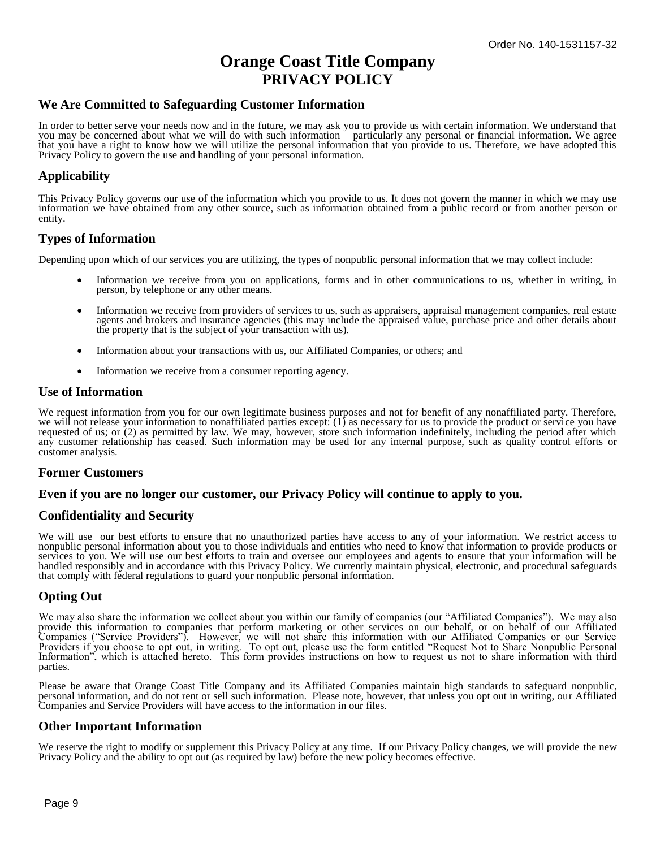# **Orange Coast Title Company PRIVACY POLICY**

# **We Are Committed to Safeguarding Customer Information**

In order to better serve your needs now and in the future, we may ask you to provide us with certain information. We understand that you may be concerned about what we will do with such information – particularly any personal or financial information. We agree that you have a right to know how we will utilize the personal information that you provide to us. Therefore, we have adopted this Privacy Policy to govern the use and handling of your personal information.

# **Applicability**

This Privacy Policy governs our use of the information which you provide to us. It does not govern the manner in which we may use information we have obtained from any other source, such as information obtained from a public record or from another person or entity.

# **Types of Information**

Depending upon which of our services you are utilizing, the types of nonpublic personal information that we may collect include:

- Information we receive from you on applications, forms and in other communications to us, whether in writing, in person, by telephone or any other means.
- Information we receive from providers of services to us, such as appraisers, appraisal management companies, real estate agents and brokers and insurance agencies (this may include the appraised value, purchase price and other details about the property that is the subject of your transaction with us).
- Information about your transactions with us, our Affiliated Companies, or others; and
- Information we receive from a consumer reporting agency.

### **Use of Information**

We request information from you for our own legitimate business purposes and not for benefit of any nonaffiliated party. Therefore, we will not release your information to nonaffiliated parties except: (1) as necessary for us to provide the product or service you have requested of us; or (2) as permitted by law. We may, however, store such information indefinitely, including the period after which any customer relationship has ceased. Such information may be used for any internal purpose, such as quality control efforts or customer analysis.

### **Former Customers**

#### **Even if you are no longer our customer, our Privacy Policy will continue to apply to you.**

### **Confidentiality and Security**

We will use our best efforts to ensure that no unauthorized parties have access to any of your information. We restrict access to nonpublic personal information about you to those individuals and entities who need to know that information to provide products or services to you. We will use our best efforts to train and oversee our employees and agents to ensure that your information will be handled responsibly and in accordance with this Privacy Policy. We currently maintain physical, electronic, and procedural safeguards that comply with federal regulations to guard your nonpublic personal information.

### **Opting Out**

We may also share the information we collect about you within our family of companies (our "Affiliated Companies"). We may also provide this information to companies that perform marketing or other services on our behalf, or on behalf of our Affiliated Companies ("Service Providers"). However, we will not share this information with our Affiliated Companies or our Service Providers if you choose to opt out, in writing. To opt out, please use the form entitled "Request Not to Share Nonpublic Personal Information", which is attached hereto. This form provides instructions on how to request us not to share information with third parties.

Please be aware that Orange Coast Title Company and its Affiliated Companies maintain high standards to safeguard nonpublic, personal information, and do not rent or sell such information. Please note, however, that unless you opt out in writing, our Affiliated Companies and Service Providers will have access to the information in our files.

### **Other Important Information**

We reserve the right to modify or supplement this Privacy Policy at any time. If our Privacy Policy changes, we will provide the new Privacy Policy and the ability to opt out (as required by law) before the new policy becomes effective.